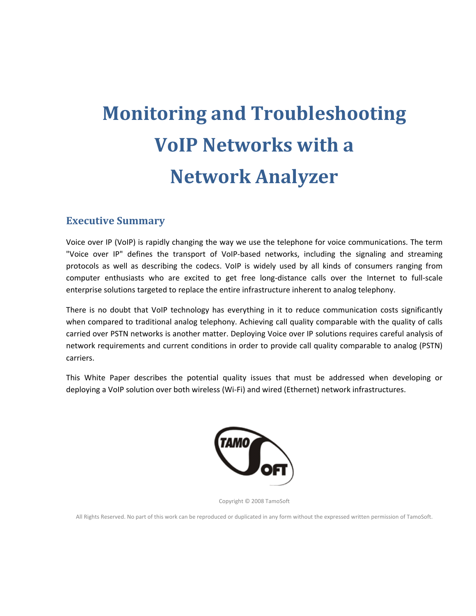# **Monitoring and Troubleshooting VoIP Networks with a Network Analyzer**

#### **Executive Summary**

Voice over IP (VoIP) is rapidly changing the way we use the telephone for voice communications. The term "Voice over IP" defines the transport of VoIP‐based networks, including the signaling and streaming protocols as well as describing the codecs. VoIP is widely used by all kinds of consumers ranging from computer enthusiasts who are excited to get free long-distance calls over the Internet to full-scale enterprise solutions targeted to replace the entire infrastructure inherent to analog telephony.

There is no doubt that VoIP technology has everything in it to reduce communication costs significantly when compared to traditional analog telephony. Achieving call quality comparable with the quality of calls carried over PSTN networks is another matter. Deploying Voice over IP solutions requires careful analysis of network requirements and current conditions in order to provide call quality comparable to analog (PSTN) carriers.

This White Paper describes the potential quality issues that must be addressed when developing or deploying a VoIP solution over both wireless (Wi‐Fi) and wired (Ethernet) network infrastructures.



Copyright © 2008 TamoSoft

All Rights Reserved. No part of this work can be reproduced or duplicated in any form without the expressed written permission of TamoSoft.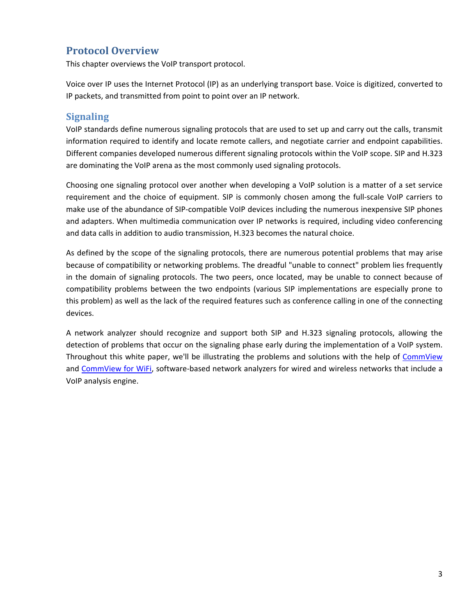# <span id="page-2-0"></span>**Protocol Overview**

This chapter overviews the VoIP transport protocol.

Voice over IP uses the Internet Protocol (IP) as an underlying transport base. Voice is digitized, converted to IP packets, and transmitted from point to point over an IP network.

#### **Signaling**

VoIP standards define numerous signaling protocols that are used to set up and carry out the calls, transmit information required to identify and locate remote callers, and negotiate carrier and endpoint capabilities. Different companies developed numerous different signaling protocols within the VoIP scope. SIP and H.323 are dominating the VoIP arena as the most commonly used signaling protocols.

Choosing one signaling protocol over another when developing a VoIP solution is a matter of a set service requirement and the choice of equipment. SIP is commonly chosen among the full-scale VoIP carriers to make use of the abundance of SIP-compatible VoIP devices including the numerous inexpensive SIP phones and adapters. When multimedia communication over IP networks is required, including video conferencing and data calls in addition to audio transmission, H.323 becomes the natural choice.

As defined by the scope of the signaling protocols, there are numerous potential problems that may arise because of compatibility or networking problems. The dreadful "unable to connect" problem lies frequently in the domain of signaling protocols. The two peers, once located, may be unable to connect because of compatibility problems between the two endpoints (various SIP implementations are especially prone to this problem) as well as the lack of the required features such as conference calling in one of the connecting devices.

A network analyzer should recognize and support both SIP and H.323 signaling protocols, allowing the detection of problems that occur on the signaling phase early during the implementation of a VoIP system. Throughout this white paper, we'll be illustrating the problems and solutions with the help of [CommView](http://www.tamos.com/products/commview/) and [CommView](http://www.tamos.com/products/commwifi/) for WiFi, software-based network analyzers for wired and wireless networks that include a VoIP analysis engine.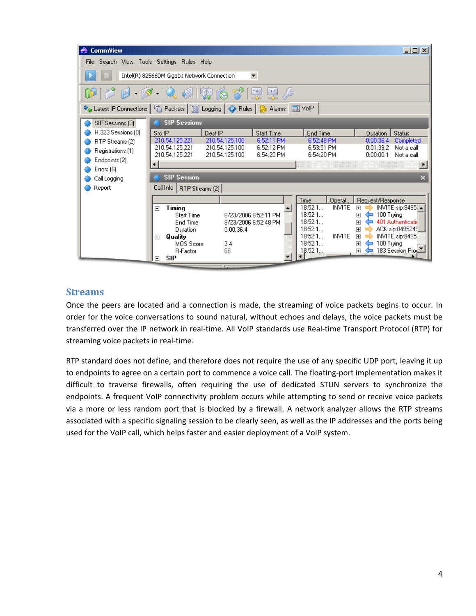<span id="page-3-0"></span>

| <b>CommView</b>                            |                                                                                                                                                                                                                                                                                                                                                                                                                        | $-10X$                                                                                                         |  |  |  |  |  |  |  |  |
|--------------------------------------------|------------------------------------------------------------------------------------------------------------------------------------------------------------------------------------------------------------------------------------------------------------------------------------------------------------------------------------------------------------------------------------------------------------------------|----------------------------------------------------------------------------------------------------------------|--|--|--|--|--|--|--|--|
| File Search View Tools Settings Rules Help |                                                                                                                                                                                                                                                                                                                                                                                                                        |                                                                                                                |  |  |  |  |  |  |  |  |
|                                            | $\blacktriangledown$<br>Intel(R) 82566DM Gigabit Network Connection                                                                                                                                                                                                                                                                                                                                                    |                                                                                                                |  |  |  |  |  |  |  |  |
|                                            | $\mathbf{D} \mathbf{D} \mathbf{A} \mathbf{B} \mathbf{A} \mathbf{A} \mathbf{A} \mathbf{A} \mathbf{B} \mathbf{A} \mathbf{B} \mathbf{B} \mathbf{B} \mathbf{B} \mathbf{B} \mathbf{B} \mathbf{A} \mathbf{B} \mathbf{A} \mathbf{B} \mathbf{A} \mathbf{B} \mathbf{A} \mathbf{B} \mathbf{A} \mathbf{B} \mathbf{A} \mathbf{B} \mathbf{A} \mathbf{B} \mathbf{A} \mathbf{B} \mathbf{A} \mathbf{A} \mathbf{A} \mathbf{A} \mathbf{$ |                                                                                                                |  |  |  |  |  |  |  |  |
|                                            | → Latest IP Connections   └ Packets   ৣ Logging   ◆ Rules   ☆ Alarms                                                                                                                                                                                                                                                                                                                                                   | 圖 VolP                                                                                                         |  |  |  |  |  |  |  |  |
| SIP Sessions (3)                           | <b>SIP Sessions</b>                                                                                                                                                                                                                                                                                                                                                                                                    |                                                                                                                |  |  |  |  |  |  |  |  |
| H.323 Sessions (0)                         | Src IP<br>Dest IP<br><b>Start Time</b>                                                                                                                                                                                                                                                                                                                                                                                 | End Time<br><b>Duration</b><br><b>Status</b>                                                                   |  |  |  |  |  |  |  |  |
| RTP Streams (2)                            | 210.54.125.221<br>210.54.125.100<br>6:52:11 PM                                                                                                                                                                                                                                                                                                                                                                         | 6:52:48 PM<br>0:00:36.4<br>Completed                                                                           |  |  |  |  |  |  |  |  |
| Registrations [1]                          | 210.54.125.221<br>210.54.125.100<br>6:52:12 PM                                                                                                                                                                                                                                                                                                                                                                         | 6:53:51 PM<br>0:01:39.2<br>Not a call                                                                          |  |  |  |  |  |  |  |  |
| Endpoints (2)                              | 210.54.125.221<br>210.54.125.100<br>6:54:20 PM                                                                                                                                                                                                                                                                                                                                                                         | 6:54:20 PM<br>0:00:00.1<br>Not a call                                                                          |  |  |  |  |  |  |  |  |
| Errors (6)                                 | ⊣                                                                                                                                                                                                                                                                                                                                                                                                                      |                                                                                                                |  |  |  |  |  |  |  |  |
| Call Logging                               | <b>SIP Session</b>                                                                                                                                                                                                                                                                                                                                                                                                     | $\overline{\mathbf{x}}$                                                                                        |  |  |  |  |  |  |  |  |
| Report                                     | Call Info<br>RTP Streams (2)                                                                                                                                                                                                                                                                                                                                                                                           |                                                                                                                |  |  |  |  |  |  |  |  |
|                                            |                                                                                                                                                                                                                                                                                                                                                                                                                        | Time<br>Operat<br>Request/Response                                                                             |  |  |  |  |  |  |  |  |
|                                            | Timing<br>$\boxdot$                                                                                                                                                                                                                                                                                                                                                                                                    | 18:52:1<br><b>INVITE</b><br>INVITE sip:8495. ▲<br>$\overline{+}$                                               |  |  |  |  |  |  |  |  |
|                                            | 8/23/2006 6:52:11 PM<br><b>Start Time</b>                                                                                                                                                                                                                                                                                                                                                                              | 18:52:1<br>100 Trying<br>$\overline{+}$                                                                        |  |  |  |  |  |  |  |  |
|                                            | 8/23/2006 6:52:48 PM<br>End Time                                                                                                                                                                                                                                                                                                                                                                                       | 18:52:1<br>401 Authenticatid<br>$\overline{+}$<br>≔                                                            |  |  |  |  |  |  |  |  |
|                                            | 0:00:36.4<br>Duration                                                                                                                                                                                                                                                                                                                                                                                                  | 18:52:1<br>ACK sip:8495249<br>$\overline{+}$<br>18:52:1<br><b>INVITE</b><br>INVITE sip:8495.<br>$\overline{+}$ |  |  |  |  |  |  |  |  |
|                                            | Quality<br>$\Box$<br>MOS Score<br>3.4                                                                                                                                                                                                                                                                                                                                                                                  | 18:52:1<br>100 Trying<br>$\overline{+}$<br>∊                                                                   |  |  |  |  |  |  |  |  |
|                                            | 66<br><b>R-Factor</b>                                                                                                                                                                                                                                                                                                                                                                                                  | 183 Session Prod<br>18:52:1<br>$\overline{+}$                                                                  |  |  |  |  |  |  |  |  |
|                                            | <b>SIP</b><br>$\Box$                                                                                                                                                                                                                                                                                                                                                                                                   |                                                                                                                |  |  |  |  |  |  |  |  |

#### **Streams**

Once the peers are located and a connection is made, the streaming of voice packets begins to occur. In order for the voice conversations to sound natural, without echoes and delays, the voice packets must be transferred over the IP network in real-time. All VoIP standards use Real-time Transport Protocol (RTP) for streaming voice packets in real‐time.

RTP standard does not define, and therefore does not require the use of any specific UDP port, leaving it up to endpoints to agree on a certain port to commence a voice call. The floating‐port implementation makes it difficult to traverse firewalls, often requiring the use of dedicated STUN servers to synchronize the endpoints. A frequent VoIP connectivity problem occurs while attempting to send or receive voice packets via a more or less random port that is blocked by a firewall. A network analyzer allows the RTP streams associated with a specific signaling session to be clearly seen, as well as the IP addresses and the ports being used for the VoIP call, which helps faster and easier deployment of a VoIP system.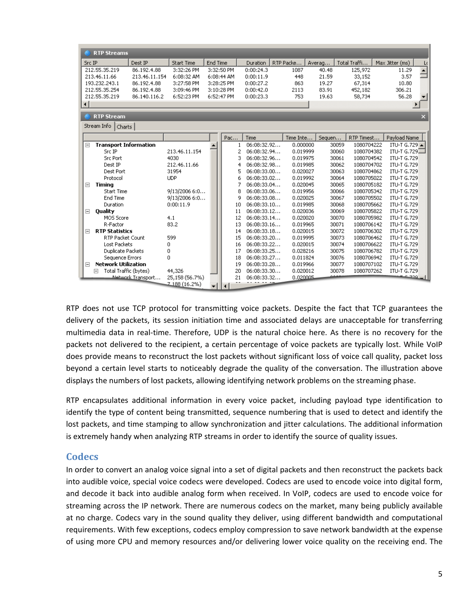<span id="page-4-0"></span>

| <b>RTP Streams</b>                   |                          |                |          |              |             |           |        |                     |                    |                          |
|--------------------------------------|--------------------------|----------------|----------|--------------|-------------|-----------|--------|---------------------|--------------------|--------------------------|
| Src IP                               | Dest IP                  | Start Time     | End Time |              | Duration    | RTP Packe | Averag | Total Traffi        | Max Jitter (ms)    | L(                       |
| 212.55.35.219                        | 86.192.4.88              | 3:32:26 PM     |          | 3:32:50 PM   | 0:00:24.3   | 1087      | 40.48  | 125,972             | 11.29              | $\overline{\phantom{0}}$ |
| 213.46.11.66                         | 213.46.11.154            | 6:08:32 AM     |          | 6:08:44 AM   | 0:00:11.9   | 448       | 21.59  | 33,152              | 3.57               |                          |
| 193,232,243.1                        | 86.192.4.88              | 3:27:58 PM     |          | 3:28:25 PM   | 0:00:27.2   | 863       | 19.27  | 67,314              | 10.80              |                          |
| 212.55.35.254                        | 86.192.4.88              | 3:09:46 PM     |          | 3:10:28 PM   | 0:00:42.0   | 2113      | 83.91  | 452,182             | 306.21             |                          |
| 212.55.35.219                        | 86.140.116.2             | 6:52:23 PM     |          | 6:52:47 PM   | 0:00:23.3   | 753       | 19.63  | 58,734              | 56.28              |                          |
| ⊣                                    |                          |                |          |              |             |           |        |                     |                    |                          |
| <b>RTP Stream</b>                    |                          |                |          |              |             |           |        |                     |                    | $\overline{\mathsf{x}}$  |
| Stream Info                          |                          |                |          |              |             |           |        |                     |                    |                          |
| Charts                               |                          |                |          |              |             |           |        |                     |                    |                          |
|                                      |                          |                |          | Pac          | Time        | Time Inte | Sequen | RTP Timest          | Payload Name       |                          |
| <b>Transport Information</b><br>Ξ    |                          |                |          | $\mathbf{1}$ | 06:08:32.92 | 0.000000  |        | 30059<br>1080704222 | ITU-T G.729 ▲      |                          |
| Src IP                               |                          | 213.46.11.154  |          | 2            | 06:08:32.94 | 0.019999  |        | 30060<br>1080704382 | ITU-T G.729 $\Box$ |                          |
| <b>Src Port</b>                      |                          | 4030           |          | 3            | 06:08:32.96 | 0.019975  | 30061  | 1080704542          | ITU-T G.729        |                          |
| Dest IP                              |                          | 212.46.11.66   |          | 4            | 06:08:32.98 | 0.019985  |        | 30062<br>1080704702 | ITU-T G.729        |                          |
| Dest Port                            |                          | 31954          |          | 5            | 06:08:33.00 | 0.020027  |        | 30063<br>1080704862 | ITU-T G.729        |                          |
| Protocol                             |                          | <b>UDP</b>     |          | 6            | 06:08:33.02 | 0.019992  |        | 30064<br>1080705022 | ITU-T G.729        |                          |
| <b>Timing</b><br>Ξ                   |                          |                |          | 7            | 06:08:33.04 | 0.020045  |        | 30065<br>1080705182 | ITU-T G.729        |                          |
| <b>Start Time</b>                    |                          | 9/13/2006 6:0  |          | 8            | 06:08:33.06 | 0.019956  |        | 30066<br>1080705342 | ITU-T G.729        |                          |
| End Time                             |                          | 9/13/2006 6:0  |          | 9            | 06:08:33.08 | 0.020025  |        | 30067<br>1080705502 | ITU-T G.729        |                          |
| Duration                             |                          | 0:00:11.9      |          | 10           | 06:08:33.10 | 0.019985  |        | 30068<br>1080705662 | ITU-T G.729        |                          |
| Quality<br>Ξ                         |                          |                |          | 11           | 06:08:33.12 | 0.020036  |        | 30069<br>1080705822 | ITU-T G.729        |                          |
| MOS Score                            |                          | 4.1            |          | 12           | 06:08:33.14 | 0.020020  |        | 30070<br>1080705982 | ITU-T G.729        |                          |
| R-Factor                             |                          | 83.2           |          | 13           | 06:08:33.16 | 0.019965  | 30071  | 1080706142          | ITU-T G.729        |                          |
| <b>RTP Statistics</b><br>Ξ           |                          |                |          | 14           | 06:08:33.18 | 0.020015  |        | 30072<br>1080706302 | ITU-T G.729        |                          |
| RTP Packet Count                     |                          | 599            |          | 15           | 06:08:33.20 | 0.019995  |        | 30073<br>1080706462 | ITU-T G.729        |                          |
| <b>Lost Packets</b>                  |                          | 0              |          | 16           | 06:08:33.22 | 0.020015  |        | 30074<br>1080706622 | ITU-T G.729        |                          |
| Duplicate Packets                    |                          | O              |          | 17           | 06:08:33.25 | 0.028216  |        | 30075<br>1080706782 | ITU-T G.729        |                          |
| Sequence Errors                      |                          | 0              |          | 18           | 06:08:33.27 | 0.011824  |        | 30076<br>1080706942 | ITU-T G.729        |                          |
| <b>Network Utilization</b><br>$\Box$ |                          |                |          | 19           | 06:08:33.28 | 0.019966  |        | 30077<br>1080707102 | ITU-T G.729        |                          |
| Total Traffic (bytes)<br>$\boxminus$ |                          | 44,326         |          | 20           | 06:08:33.30 | 0.020012  |        | 30078<br>1080707262 | ITU-T G.729        |                          |
|                                      | <b>Network Transport</b> | 25,158 (56.7%) |          | 21           | 06:08:33.32 | 0.020005  |        |                     |                    | ا 220                    |
|                                      |                          | 2188 (16.2%)   |          |              |             |           |        |                     |                    |                          |

RTP does not use TCP protocol for transmitting voice packets. Despite the fact that TCP guarantees the delivery of the packets, its session initiation time and associated delays are unacceptable for transferring multimedia data in real‐time. Therefore, UDP is the natural choice here. As there is no recovery for the packets not delivered to the recipient, a certain percentage of voice packets are typically lost. While VoIP does provide means to reconstruct the lost packets without significant loss of voice call quality, packet loss beyond a certain level starts to noticeably degrade the quality of the conversation. The illustration above displays the numbers of lost packets, allowing identifying network problems on the streaming phase.

RTP encapsulates additional information in every voice packet, including payload type identification to identify the type of content being transmitted, sequence numbering that is used to detect and identify the lost packets, and time stamping to allow synchronization and jitter calculations. The additional information is extremely handy when analyzing RTP streams in order to identify the source of quality issues.

#### **Codecs**

In order to convert an analog voice signal into a set of digital packets and then reconstruct the packets back into audible voice, special voice codecs were developed. Codecs are used to encode voice into digital form, and decode it back into audible analog form when received. In VoIP, codecs are used to encode voice for streaming across the IP network. There are numerous codecs on the market, many being publicly available at no charge. Codecs vary in the sound quality they deliver, using different bandwidth and computational requirements. With few exceptions, codecs employ compression to save network bandwidth at the expense of using more CPU and memory resources and/or delivering lower voice quality on the receiving end. The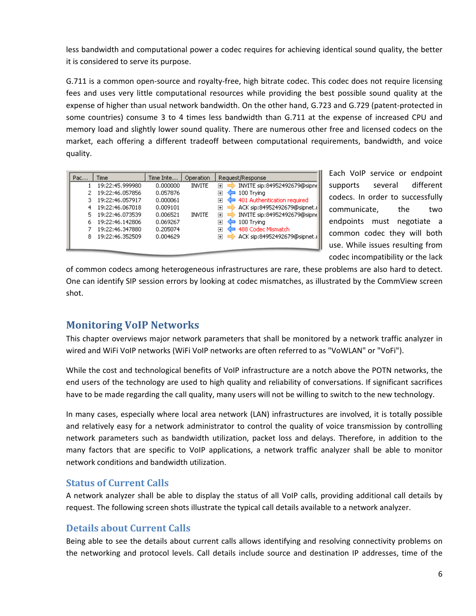<span id="page-5-0"></span>less bandwidth and computational power a codec requires for achieving identical sound quality, the better it is considered to serve its purpose.

G.711 is a common open-source and royalty-free, high bitrate codec. This codec does not require licensing fees and uses very little computational resources while providing the best possible sound quality at the expense of higher than usual network bandwidth. On the other hand, G.723 and G.729 (patent‐protected in some countries) consume 3 to 4 times less bandwidth than G.711 at the expense of increased CPU and memory load and slightly lower sound quality. There are numerous other free and licensed codecs on the market, each offering a different tradeoff between computational requirements, bandwidth, and voice quality.

| Pac | Time            | Time Inte | Operation     | Request/Response                                        |
|-----|-----------------|-----------|---------------|---------------------------------------------------------|
|     | 19:22:45.999980 | 0.000000  | <b>INVITE</b> | INVITE sip:84952492679@sipne<br>$\overline{+}$          |
|     | 19:22:46.057856 | 0.057876  |               | 100 Trying<br>$\overline{+}$                            |
| з   | 19:22:46.057917 | 0.000061  |               | 401 Authentication required<br>$\overline{+}$           |
| 4   | 19:22:46.067018 | 0.009101  |               | ACK sip:84952492679@sipnet.il<br>$\overline{+}$         |
| 5   | 19:22:46.073539 | 0.006521  | <b>INVITE</b> | INVITE sip:84952492679@sipne<br>$\overline{\mathbf{H}}$ |
| 6   | 19:22:46.142806 | 0.069267  |               | 100 Trying<br>$\overline{+}$                            |
|     | 19:22:46.347880 | 0.205074  |               | 488 Codec Mismatch<br>$\overline{\mathbf{H}}$           |
| 8   | 19:22:46.352509 | 0.004629  |               | ACK sip:84952492679@sipnet.il<br>曱                      |
|     |                 |           |               |                                                         |

Each VoIP service or endpoint supports several different codecs. In order to successfully communicate, the two endpoints must negotiate a common codec they will both use. While issues resulting from codec incompatibility or the lack

of common codecs among heterogeneous infrastructures are rare, these problems are also hard to detect. One can identify SIP session errors by looking at codec mismatches, as illustrated by the CommView screen shot.

# **Monitoring VoIP Networks**

This chapter overviews major network parameters that shall be monitored by a network traffic analyzer in wired and WiFi VoIP networks (WiFi VoIP networks are often referred to as "VoWLAN" or "VoFi").

While the cost and technological benefits of VoIP infrastructure are a notch above the POTN networks, the end users of the technology are used to high quality and reliability of conversations. If significant sacrifices have to be made regarding the call quality, many users will not be willing to switch to the new technology.

In many cases, especially where local area network (LAN) infrastructures are involved, it is totally possible and relatively easy for a network administrator to control the quality of voice transmission by controlling network parameters such as bandwidth utilization, packet loss and delays. Therefore, in addition to the many factors that are specific to VoIP applications, a network traffic analyzer shall be able to monitor network conditions and bandwidth utilization.

## **Status of Current Calls**

A network analyzer shall be able to display the status of all VoIP calls, providing additional call details by request. The following screen shots illustrate the typical call details available to a network analyzer.

## **Details about Current Calls**

Being able to see the details about current calls allows identifying and resolving connectivity problems on the networking and protocol levels. Call details include source and destination IP addresses, time of the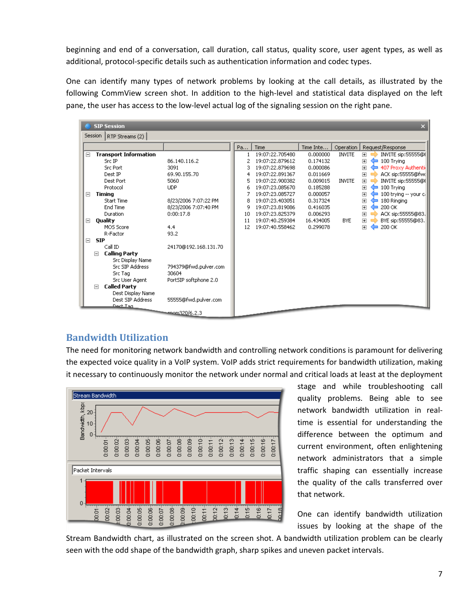<span id="page-6-0"></span>beginning and end of a conversation, call duration, call status, quality score, user agent types, as well as additional, protocol‐specific details such as authentication information and codec types.

One can identify many types of network problems by looking at the call details, as illustrated by the following CommView screen shot. In addition to the high‐level and statistical data displayed on the left pane, the user has access to the low‐level actual log of the signaling session on the right pane.

|          |            | <b>SIP Session</b>           |                       |    |                 |           |               |                     | $\boldsymbol{\mathsf{x}}$ |
|----------|------------|------------------------------|-----------------------|----|-----------------|-----------|---------------|---------------------|---------------------------|
|          | Session    | RTP Streams (2)              |                       |    |                 |           |               |                     |                           |
|          |            |                              |                       | Pa | Time            | Time Inte | Operation     |                     | Request/Response          |
| $\equiv$ |            | <b>Transport Information</b> |                       |    | 19:07:22.705480 | 0.000000  | <b>INVITE</b> | 圧                   | INVITE sip:55555@[        |
|          |            | Src IP                       | 86.140.116.2          | 2  | 19:07:22.879612 | 0.174132  |               | $\overline{+}$<br>▭ | 100 Trying                |
|          |            | <b>Src Port</b>              | 3091                  | 3  | 19:07:22.879698 | 0.000086  |               | $\overline{+}$      | 407 Proxy Authenti        |
|          |            | Dest IP                      | 69.90.155.70          |    | 19:07:22.891367 | 0.011669  |               | $\overline{+}$      | ACK sip:55555@fwc         |
|          |            | Dest Port                    | 5060                  | 5  | 19:07:22.900382 | 0.009015  | <b>INVITE</b> | $\overline{+}$      | INVITE sip:55555@I        |
|          |            | Protocol                     | <b>UDP</b>            | 6  | 19:07:23.085670 | 0.185288  |               | $\overline{+}$<br>▭ | 100 Trying                |
| $\equiv$ |            | Timing                       |                       |    | 19:07:23.085727 | 0.000057  |               | $\overline{+}$      | 100 trying -- your cl     |
|          |            | <b>Start Time</b>            | 8/23/2006 7:07:22 PM  | 8  | 19:07:23.403051 | 0.317324  |               | 田                   | 180 Ringing               |
|          |            | End Time                     | 8/23/2006 7:07:40 PM  | 9  | 19:07:23.819086 | 0.416035  |               | $\overline{+}$      | 200 OK                    |
|          |            | Duration                     | 0:00:17.8             | 10 | 19:07:23.825379 | 0.006293  |               | $\overline{+}$      | ACK sip:55555@83.         |
| Ξ        |            | Ouality                      |                       | 11 | 19:07:40.259384 | 16.434005 | <b>BYE</b>    | $\overline{+}$      | BYE sip:55555@83.         |
|          |            | MOS Score                    | 4.4                   | 12 | 19:07:40.558462 | 0.299078  |               | 田<br>⋍              | 200 OK                    |
|          |            | R-Factor                     | 93.2                  |    |                 |           |               |                     |                           |
| Ξ        | <b>SIP</b> |                              |                       |    |                 |           |               |                     |                           |
|          |            | Call ID                      | 24170@192.168.131.70  |    |                 |           |               |                     |                           |
|          | $\Box$     | <b>Calling Party</b>         |                       |    |                 |           |               |                     |                           |
|          |            | <b>Src Display Name</b>      |                       |    |                 |           |               |                     |                           |
|          |            | Src SIP Address              | 794379@fwd.pulver.com |    |                 |           |               |                     |                           |
|          |            | Src Tag                      | 30604                 |    |                 |           |               |                     |                           |
|          |            | Src User Agent               | PortSIP softphone 2.0 |    |                 |           |               |                     |                           |
|          | E          | <b>Called Party</b>          |                       |    |                 |           |               |                     |                           |
|          |            | Dest Display Name            |                       |    |                 |           |               |                     |                           |
|          |            | Dest SIP Address             | 55555@fwd.pulver.com  |    |                 |           |               |                     |                           |
|          |            | Dect Tag                     |                       |    |                 |           |               |                     |                           |
|          |            |                              | =======320/6.2.3      |    |                 |           |               |                     |                           |

# **Bandwidth Utilization**

The need for monitoring network bandwidth and controlling network conditions is paramount for delivering the expected voice quality in a VoIP system. VoIP adds strict requirements for bandwidth utilization, making it necessary to continuously monitor the network under normal and critical loads at least at the deployment



stage and while troubleshooting call quality problems. Being able to see network bandwidth utilization in real‐ time is essential for understanding the difference between the optimum and current environment, often enlightening network administrators that a simple traffic shaping can essentially increase the quality of the calls transferred over that network.

One can identify bandwidth utilization issues by looking at the shape of the

Stream Bandwidth chart, as illustrated on the screen shot. A bandwidth utilization problem can be clearly seen with the odd shape of the bandwidth graph, sharp spikes and uneven packet intervals.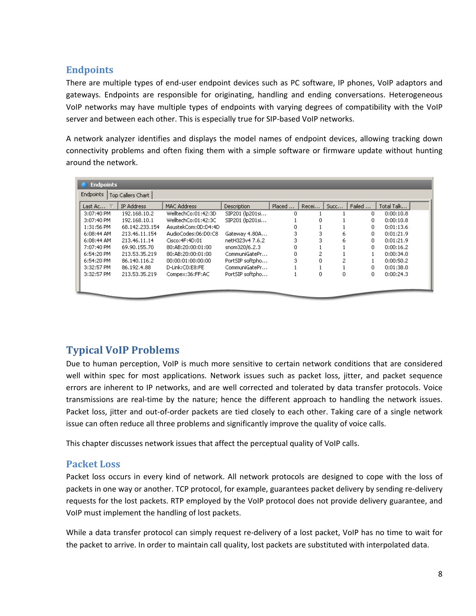## <span id="page-7-0"></span>**Endpoints**

There are multiple types of end-user endpoint devices such as PC software, IP phones, VoIP adaptors and gateways. Endpoints are responsible for originating, handling and ending conversations. Heterogeneous VoIP networks may have multiple types of endpoints with varying degrees of compatibility with the VoIP server and between each other. This is especially true for SIP-based VoIP networks.

A network analyzer identifies and displays the model names of endpoint devices, allowing tracking down connectivity problems and often fixing them with a simple software or firmware update without hunting around the network.

| <b>Endpoints</b><br>Top Callers Chart |                |                     |                    |        |       |      |        |            |  |  |
|---------------------------------------|----------------|---------------------|--------------------|--------|-------|------|--------|------------|--|--|
| Last Ac $\nabla$                      | IP Address     | MAC Address         | <b>Description</b> | Placed | Recei | Succ | Failed | Total Talk |  |  |
| 3:07:40 PM                            | 192.168.10.2   | WelltechCo:01:42:3D | SIP201 (lp201si    | 0      |       |      | 0      | 0:00:10.8  |  |  |
| 3:07:40 PM                            | 192.168.10.1   | WelltechCo:01:42:3C | SIP201 (lp201si    |        |       |      | 0      | 0:00:10.8  |  |  |
| 1:31:56 PM                            | 68.142.233.154 | AsustekCom:0D:D4:4D |                    | ٥      |       |      | 0      | 0:01:13.6  |  |  |
| 6:08:44 AM                            | 213.46.11.154  | AudioCodes:06:D0:C8 | Gateway 4.80A      | 3      | 3     | 6    | 0      | 0:01:21.9  |  |  |
| 6:08:44 AM                            | 213.46.11.14   | Cisco:4F:4D:01      | netH323v4 7.6.2    | 3      | 3     | 6    | 0.     | 0:01:21.9  |  |  |
| 7:07:40 PM                            | 69.90.155.70   | 80:AB:20:00:01:00   | snom320/6.2.3      | 0      |       |      | 0.     | 0:00:16.2  |  |  |
| 6:54:20 PM                            | 213.53.35.219  | 80:AB:20:00:01:00   | CommuniGatePr      | 0      | 2     |      |        | 0:00:34.0  |  |  |
| 6:54:20 PM                            | 86.140.116.2   | 00:00:01:00:00:00   | PortSIP softpho    | 3      |       |      |        | 0:00:50.2  |  |  |
| 3:32:57 PM                            | 86.192.4.88    | D-Link:C0:E8:FE     | CommuniGatePr      |        |       |      | 0      | 0:01:38.0  |  |  |
| 3:32:57 PM                            | 213.53.35.219  | Compex:36:FF:AC     | PortSIP softpho    |        | 0     | 0    | 0      | 0:00:24.3  |  |  |

# **Typical VoIP Problems**

Due to human perception, VoIP is much more sensitive to certain network conditions that are considered well within spec for most applications. Network issues such as packet loss, jitter, and packet sequence errors are inherent to IP networks, and are well corrected and tolerated by data transfer protocols. Voice transmissions are real‐time by the nature; hence the different approach to handling the network issues. Packet loss, jitter and out‐of‐order packets are tied closely to each other. Taking care of a single network issue can often reduce all three problems and significantly improve the quality of voice calls.

This chapter discusses network issues that affect the perceptual quality of VoIP calls.

#### **Packet Loss**

Packet loss occurs in every kind of network. All network protocols are designed to cope with the loss of packets in one way or another. TCP protocol, for example, guarantees packet delivery by sending re‐delivery requests for the lost packets. RTP employed by the VoIP protocol does not provide delivery guarantee, and VoIP must implement the handling of lost packets.

While a data transfer protocol can simply request re-delivery of a lost packet, VoIP has no time to wait for the packet to arrive. In order to maintain call quality, lost packets are substituted with interpolated data.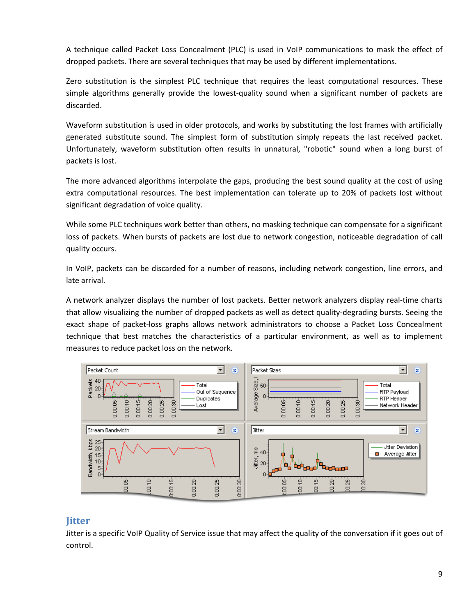<span id="page-8-0"></span>A technique called Packet Loss Concealment (PLC) is used in VoIP communications to mask the effect of dropped packets. There are several techniques that may be used by different implementations.

Zero substitution is the simplest PLC technique that requires the least computational resources. These simple algorithms generally provide the lowest-quality sound when a significant number of packets are discarded.

Waveform substitution is used in older protocols, and works by substituting the lost frames with artificially generated substitute sound. The simplest form of substitution simply repeats the last received packet. Unfortunately, waveform substitution often results in unnatural, "robotic" sound when a long burst of packets is lost.

The more advanced algorithms interpolate the gaps, producing the best sound quality at the cost of using extra computational resources. The best implementation can tolerate up to 20% of packets lost without significant degradation of voice quality.

While some PLC techniques work better than others, no masking technique can compensate for a significant loss of packets. When bursts of packets are lost due to network congestion, noticeable degradation of call quality occurs.

In VoIP, packets can be discarded for a number of reasons, including network congestion, line errors, and late arrival.

A network analyzer displays the number of lost packets. Better network analyzers display real‐time charts that allow visualizing the number of dropped packets as well as detect quality‐degrading bursts. Seeing the exact shape of packet-loss graphs allows network administrators to choose a Packet Loss Concealment technique that best matches the characteristics of a particular environment, as well as to implement measures to reduce packet loss on the network.



## **Jitter**

Jitter is a specific VoIP Quality of Service issue that may affect the quality of the conversation if it goes out of control.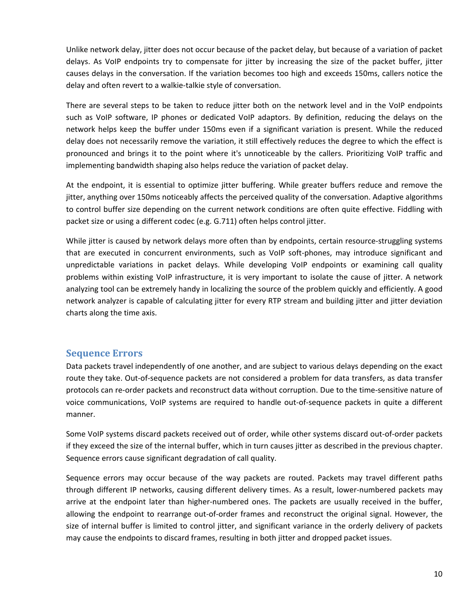<span id="page-9-0"></span>Unlike network delay, jitter does not occur because of the packet delay, but because of a variation of packet delays. As VoIP endpoints try to compensate for jitter by increasing the size of the packet buffer, jitter causes delays in the conversation. If the variation becomes too high and exceeds 150ms, callers notice the delay and often revert to a walkie-talkie style of conversation.

There are several steps to be taken to reduce jitter both on the network level and in the VoIP endpoints such as VoIP software, IP phones or dedicated VoIP adaptors. By definition, reducing the delays on the network helps keep the buffer under 150ms even if a significant variation is present. While the reduced delay does not necessarily remove the variation, it still effectively reduces the degree to which the effect is pronounced and brings it to the point where it's unnoticeable by the callers. Prioritizing VoIP traffic and implementing bandwidth shaping also helps reduce the variation of packet delay.

At the endpoint, it is essential to optimize jitter buffering. While greater buffers reduce and remove the jitter, anything over 150ms noticeably affects the perceived quality of the conversation. Adaptive algorithms to control buffer size depending on the current network conditions are often quite effective. Fiddling with packet size or using a different codec (e.g. G.711) often helps control jitter.

While jitter is caused by network delays more often than by endpoints, certain resource-struggling systems that are executed in concurrent environments, such as VoIP soft‐phones, may introduce significant and unpredictable variations in packet delays. While developing VoIP endpoints or examining call quality problems within existing VoIP infrastructure, it is very important to isolate the cause of jitter. A network analyzing tool can be extremely handy in localizing the source of the problem quickly and efficiently. A good network analyzer is capable of calculating jitter for every RTP stream and building jitter and jitter deviation charts along the time axis.

#### **Sequence Errors**

Data packets travel independently of one another, and are subject to various delays depending on the exact route they take. Out‐of‐sequence packets are not considered a problem for data transfers, as data transfer protocols can re‐order packets and reconstruct data without corruption. Due to the time‐sensitive nature of voice communications, VoIP systems are required to handle out‐of‐sequence packets in quite a different manner.

Some VoIP systems discard packets received out of order, while other systems discard out‐of‐order packets if they exceed the size of the internal buffer, which in turn causes jitter as described in the previous chapter. Sequence errors cause significant degradation of call quality.

Sequence errors may occur because of the way packets are routed. Packets may travel different paths through different IP networks, causing different delivery times. As a result, lower-numbered packets may arrive at the endpoint later than higher-numbered ones. The packets are usually received in the buffer, allowing the endpoint to rearrange out‐of‐order frames and reconstruct the original signal. However, the size of internal buffer is limited to control jitter, and significant variance in the orderly delivery of packets may cause the endpoints to discard frames, resulting in both jitter and dropped packet issues.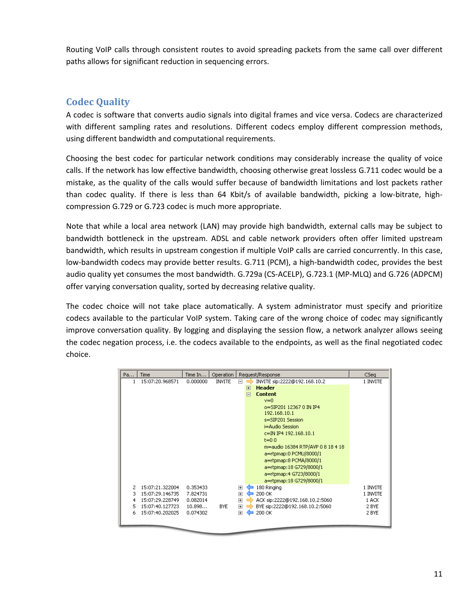<span id="page-10-0"></span>Routing VoIP calls through consistent routes to avoid spreading packets from the same call over different paths allows for significant reduction in sequencing errors.

### **Codec Quality**

A codec is software that converts audio signals into digital frames and vice versa. Codecs are characterized with different sampling rates and resolutions. Different codecs employ different compression methods, using different bandwidth and computational requirements.

Choosing the best codec for particular network conditions may considerably increase the quality of voice calls. If the network has low effective bandwidth, choosing otherwise great lossless G.711 codec would be a mistake, as the quality of the calls would suffer because of bandwidth limitations and lost packets rather than codec quality. If there is less than 64 Kbit/s of available bandwidth, picking a low-bitrate, highcompression G.729 or G.723 codec is much more appropriate.

Note that while a local area network (LAN) may provide high bandwidth, external calls may be subject to bandwidth bottleneck in the upstream. ADSL and cable network providers often offer limited upstream bandwidth, which results in upstream congestion if multiple VoIP calls are carried concurrently. In this case, low-bandwidth codecs may provide better results. G.711 (PCM), a high-bandwidth codec, provides the best audio quality yet consumes the most bandwidth. G.729a (CS‐ACELP), G.723.1 (MP‐MLQ) and G.726 (ADPCM) offer varying conversation quality, sorted by decreasing relative quality.

The codec choice will not take place automatically. A system administrator must specify and prioritize codecs available to the particular VoIP system. Taking care of the wrong choice of codec may significantly improve conversation quality. By logging and displaying the session flow, a network analyzer allows seeing the codec negation process, i.e. the codecs available to the endpoints, as well as the final negotiated codec choice.

| Pa                    | Time                                                                                        | Time $In$                                              | Operation     | Request/Response                                                                                                                                                                                                                                                                                                                                                                            | CSea                                            |
|-----------------------|---------------------------------------------------------------------------------------------|--------------------------------------------------------|---------------|---------------------------------------------------------------------------------------------------------------------------------------------------------------------------------------------------------------------------------------------------------------------------------------------------------------------------------------------------------------------------------------------|-------------------------------------------------|
| 1                     | 15:07:20.968571                                                                             | 0.000000                                               | <b>INVITE</b> | INVITE sip:2222@192.168.10.2<br>F<br><b>Header</b><br>F<br><b>Content</b><br>$\Box$<br>$v=0$<br>o=SIP201 12367 0 IN IP4<br>192.168.10.1<br>s=SIP201 Session<br>i=Audio Session<br>c=IN IP4 192.168.10.1<br>$t=0.0$<br>m=audio 16384 RTP/AVP 0 8 18 4 18<br>a=rtpmap:0 PCMU/8000/1<br>a=rtpmap:8 PCMA/8000/1<br>a=rtpmap:18 G729/8000/1<br>a=rtpmap:4 G723/8000/1<br>a=rtpmap:18 G729/8000/1 | 1 INVITE                                        |
| 2<br>з<br>4<br>5<br>6 | 15:07:21.322004<br>15:07:29.146735<br>15:07:29.228749<br>15:07:40.127723<br>15:07:40.202025 | 0.353433<br>7.824731<br>0.082014<br>10.898<br>0.074302 | <b>BYE</b>    | 180 Ringing<br>$\overline{+}$<br>$\overline{+}$<br>200 OK<br>$\overline{+}$<br>ACK sip:2222@192.168.10.2:5060<br>$\overline{+}$<br>BYE sip:2222@192.168.10.2:5060<br>200 OK<br>$\overline{+}$                                                                                                                                                                                               | 1 INVITE<br>1 INVITE<br>1 ACK<br>2 BYE<br>2 BYE |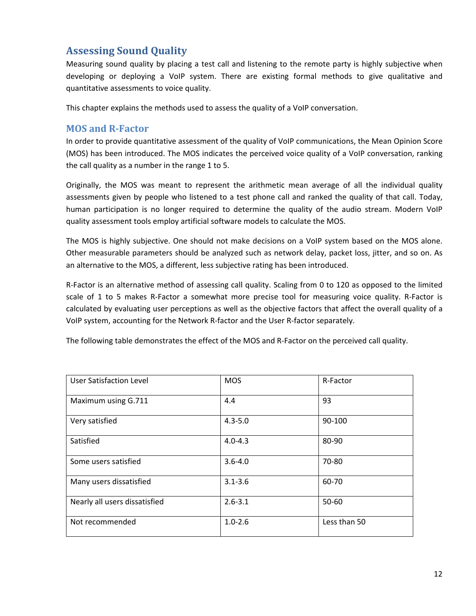# <span id="page-11-0"></span>**Assessing Sound Quality**

Measuring sound quality by placing a test call and listening to the remote party is highly subjective when developing or deploying a VoIP system. There are existing formal methods to give qualitative and quantitative assessments to voice quality.

This chapter explains the methods used to assess the quality of a VoIP conversation.

#### **MOS and RFactor**

In order to provide quantitative assessment of the quality of VoIP communications, the Mean Opinion Score (MOS) has been introduced. The MOS indicates the perceived voice quality of a VoIP conversation, ranking the call quality as a number in the range 1 to 5.

Originally, the MOS was meant to represent the arithmetic mean average of all the individual quality assessments given by people who listened to a test phone call and ranked the quality of that call. Today, human participation is no longer required to determine the quality of the audio stream. Modern VoIP quality assessment tools employ artificial software models to calculate the MOS.

The MOS is highly subjective. One should not make decisions on a VoIP system based on the MOS alone. Other measurable parameters should be analyzed such as network delay, packet loss, jitter, and so on. As an alternative to the MOS, a different, less subjective rating has been introduced.

R‐Factor is an alternative method of assessing call quality. Scaling from 0 to 120 as opposed to the limited scale of 1 to 5 makes R-Factor a somewhat more precise tool for measuring voice quality. R-Factor is calculated by evaluating user perceptions as well as the objective factors that affect the overall quality of a VoIP system, accounting for the Network R‐factor and the User R‐factor separately.

| <b>User Satisfaction Level</b> | <b>MOS</b>  | R-Factor     |
|--------------------------------|-------------|--------------|
| Maximum using G.711            | 4.4         | 93           |
| Very satisfied                 | $4.3 - 5.0$ | 90-100       |
| Satisfied                      | $4.0 - 4.3$ | 80-90        |
| Some users satisfied           | $3.6 - 4.0$ | 70-80        |
| Many users dissatisfied        | $3.1 - 3.6$ | 60-70        |
| Nearly all users dissatisfied  | $2.6 - 3.1$ | 50-60        |
| Not recommended                | $1.0 - 2.6$ | Less than 50 |

The following table demonstrates the effect of the MOS and R‐Factor on the perceived call quality.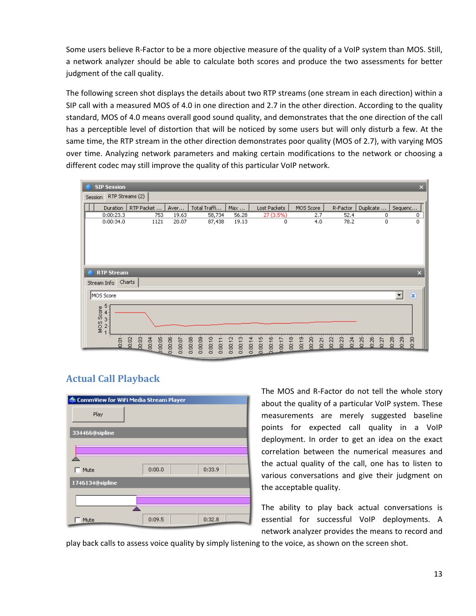<span id="page-12-0"></span>Some users believe R-Factor to be a more objective measure of the quality of a VoIP system than MOS. Still, a network analyzer should be able to calculate both scores and produce the two assessments for better judgment of the call quality.

The following screen shot displays the details about two RTP streams (one stream in each direction) within a SIP call with a measured MOS of 4.0 in one direction and 2.7 in the other direction. According to the quality standard, MOS of 4.0 means overall good sound quality, and demonstrates that the one direction of the call has a perceptible level of distortion that will be noticed by some users but will only disturb a few. At the same time, the RTP stream in the other direction demonstrates poor quality (MOS of 2.7), with varying MOS over time. Analyzing network parameters and making certain modifications to the network or choosing a different codec may still improve the quality of this particular VoIP network.



# **Actual Call Playback**

| CommView for WiFi Media Stream Player |        |        |  |  |  |  |  |
|---------------------------------------|--------|--------|--|--|--|--|--|
| Play                                  |        |        |  |  |  |  |  |
| 334466@sipline                        |        |        |  |  |  |  |  |
|                                       |        |        |  |  |  |  |  |
| Mute                                  | 0:00.0 | 0:33.9 |  |  |  |  |  |
| 1746134@sipline                       |        |        |  |  |  |  |  |
|                                       |        |        |  |  |  |  |  |
| Mute                                  | 0:09.5 | 0:32.8 |  |  |  |  |  |

The MOS and R‐Factor do not tell the whole story about the quality of a particular VoIP system. These measurements are merely suggested baseline points for expected call quality in a VoIP deployment. In order to get an idea on the exact correlation between the numerical measures and the actual quality of the call, one has to listen to various conversations and give their judgment on the acceptable quality.

The ability to play back actual conversations is essential for successful VoIP deployments. A network analyzer provides the means to record and

play back calls to assess voice quality by simply listening to the voice, as shown on the screen shot.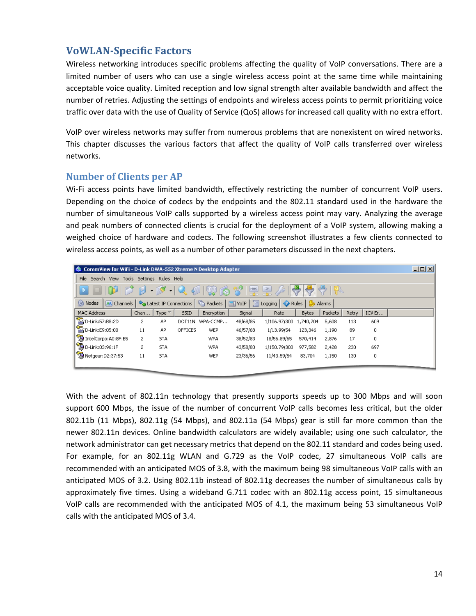# <span id="page-13-0"></span>**VoWLANSpecific Factors**

Wireless networking introduces specific problems affecting the quality of VoIP conversations. There are a limited number of users who can use a single wireless access point at the same time while maintaining acceptable voice quality. Limited reception and low signal strength alter available bandwidth and affect the number of retries. Adjusting the settings of endpoints and wireless access points to permit prioritizing voice traffic over data with the use of Quality of Service (QoS) allows for increased call quality with no extra effort.

VoIP over wireless networks may suffer from numerous problems that are nonexistent on wired networks. This chapter discusses the various factors that affect the quality of VoIP calls transferred over wireless networks.

#### **Number of Clients per AP**

Wi-Fi access points have limited bandwidth, effectively restricting the number of concurrent VoIP users. Depending on the choice of codecs by the endpoints and the 802.11 standard used in the hardware the number of simultaneous VoIP calls supported by a wireless access point may vary. Analyzing the average and peak numbers of connected clients is crucial for the deployment of a VoIP system, allowing making a weighed choice of hardware and codecs. The following screenshot illustrates a few clients connected to wireless access points, as well as a number of other parameters discussed in the next chapters.

| 그미지<br><b>CommView for WiFi - D-Link DWA-552 Xtreme N Desktop Adapter</b> |                           |                               |         |                   |                  |                        |              |         |       |        |  |
|---------------------------------------------------------------------------|---------------------------|-------------------------------|---------|-------------------|------------------|------------------------|--------------|---------|-------|--------|--|
| File<br>Search View                                                       | Tools Settings Rules Help |                               |         |                   |                  |                        |              |         |       |        |  |
| $P - P - Q$<br>$\frac{1}{\sqrt{2}}$<br>79                                 |                           |                               |         |                   |                  |                        |              |         |       |        |  |
| Modes<br>M Channels                                                       |                           | Latest IP Connections         |         | <b>G</b> Packets  | $\boxed{m}$ VoIP | I Logging   /<br>Rules | $\bullet$    | Alarms  |       |        |  |
| MAC Address                                                               | Chan                      | Type $\overline{\phantom{a}}$ | SSID    | <b>Encryption</b> | Signal           | Rate                   | <b>Bytes</b> | Packets | Retry | ICV Er |  |
| D-Link:57:B8:2D                                                           | 2                         | AP                            | DOT11N  | WPA-CCMP          | 48/68/85         | 1/106.97/300 1,740,704 |              | 5,608   | 113   | 609    |  |
| D-Link:E9:05:00                                                           | 11                        | AP                            | OFFICE5 | WEP               | 46/57/68         | 1/13.99/54             | 123,346      | 1,190   | 89    | 0      |  |
| IntelCorpo:A0:8F:B5                                                       | 2                         | <b>STA</b>                    |         | WPA               | 38/52/83         | 18/56.89/65            | 570,414      | 2,876   | 17    | 0      |  |
| D-Link:03:96:1F                                                           | 2                         | <b>STA</b>                    |         | WPA               | 43/58/80         | 1/150.79/300           | 977,582      | 2,428   | 230   | 697    |  |
| Netgear: D2:37:53                                                         | 11                        | <b>STA</b>                    |         | WEP               | 23/36/56         | 11/43.59/54            | 83,704       | 1,150   | 130   | 0      |  |
|                                                                           |                           |                               |         |                   |                  |                        |              |         |       |        |  |

With the advent of 802.11n technology that presently supports speeds up to 300 Mbps and will soon support 600 Mbps, the issue of the number of concurrent VoIP calls becomes less critical, but the older 802.11b (11 Mbps), 802.11g (54 Mbps), and 802.11a (54 Mbps) gear is still far more common than the newer 802.11n devices. Online bandwidth calculators are widely available; using one such calculator, the network administrator can get necessary metrics that depend on the 802.11 standard and codes being used. For example, for an 802.11g WLAN and G.729 as the VoIP codec, 27 simultaneous VoIP calls are recommended with an anticipated MOS of 3.8, with the maximum being 98 simultaneous VoIP calls with an anticipated MOS of 3.2. Using 802.11b instead of 802.11g decreases the number of simultaneous calls by approximately five times. Using a wideband G.711 codec with an 802.11g access point, 15 simultaneous VoIP calls are recommended with the anticipated MOS of 4.1, the maximum being 53 simultaneous VoIP calls with the anticipated MOS of 3.4.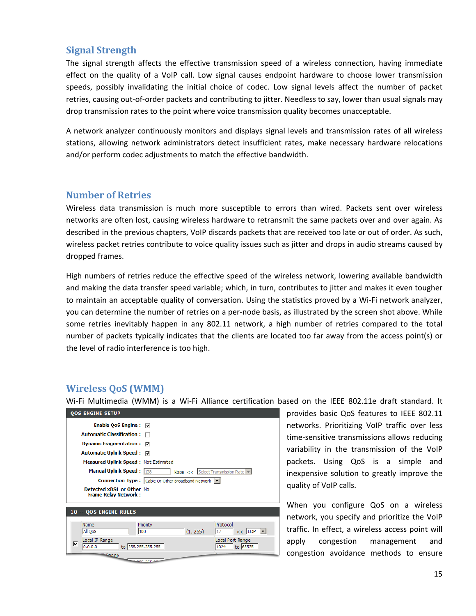#### <span id="page-14-0"></span>**Signal Strength**

The signal strength affects the effective transmission speed of a wireless connection, having immediate effect on the quality of a VoIP call. Low signal causes endpoint hardware to choose lower transmission speeds, possibly invalidating the initial choice of codec. Low signal levels affect the number of packet retries, causing out‐of‐order packets and contributing to jitter. Needless to say, lower than usual signals may drop transmission rates to the point where voice transmission quality becomes unacceptable.

A network analyzer continuously monitors and displays signal levels and transmission rates of all wireless stations, allowing network administrators detect insufficient rates, make necessary hardware relocations and/or perform codec adjustments to match the effective bandwidth.

#### **Number of Retries**

Wireless data transmission is much more susceptible to errors than wired. Packets sent over wireless networks are often lost, causing wireless hardware to retransmit the same packets over and over again. As described in the previous chapters, VoIP discards packets that are received too late or out of order. As such, wireless packet retries contribute to voice quality issues such as jitter and drops in audio streams caused by dropped frames.

High numbers of retries reduce the effective speed of the wireless network, lowering available bandwidth and making the data transfer speed variable; which, in turn, contributes to jitter and makes it even tougher to maintain an acceptable quality of conversation. Using the statistics proved by a Wi‐Fi network analyzer, you can determine the number of retries on a per‐node basis, as illustrated by the screen shot above. While some retries inevitably happen in any 802.11 network, a high number of retries compared to the total number of packets typically indicates that the clients are located too far away from the access point(s) or the level of radio interference is too high.

## **Wireless QoS (WMM)**

Wi-Fi Multimedia (WMM) is a Wi-Fi Alliance certification based on the IEEE 802.11e draft standard. It

| <b>QOS ENGINE SETUP</b>                                  |                                                                 |
|----------------------------------------------------------|-----------------------------------------------------------------|
| Enable OoS Engine : <del>□</del>                         |                                                                 |
| <b>Automatic Classification:</b>                         |                                                                 |
| <b>Dynamic Fragmentation:</b>                            | ⊽                                                               |
| Automatic Uplink Speed : <del>□</del>                    |                                                                 |
| Measured Uplink Speed: Not Estimated                     |                                                                 |
| Manual Uplink Speed: $\frac{128}{128}$                   | <b>kbps</b> << Select Transmission Rate $\overline{\mathbf{v}}$ |
|                                                          | Connection Type: Cable Or Other Broadband Network v             |
| Detected xDSL or Other No<br><b>Frame Relay Network:</b> |                                                                 |
| <b>10 -- QOS ENGINE RULES</b>                            |                                                                 |
|                                                          |                                                                 |
| Name<br>All OoS                                          | Protocol<br>Priority<br>(1255)<br>$<<$ UDP $<$<br>100<br>17     |
|                                                          |                                                                 |
| Local IP Range<br>⊽<br>to 255.255.255.255<br>0.0.0.0     | Local Port Range<br>to 65535<br>1024                            |

time-sensitive transmissions allows reducing packets. Using QoS is a simple and provides basic QoS features to IEEE 802.11 networks. Prioritizing VoIP traffic over less variability in the transmission of the VoIP inexpensive solution to greatly improve the quality of VoIP calls.

When you configure QoS on a wireless congestion avoidance methods to ensure network, you specify and prioritize the VoIP traffic. In effect, a wireless access point will apply congestion management and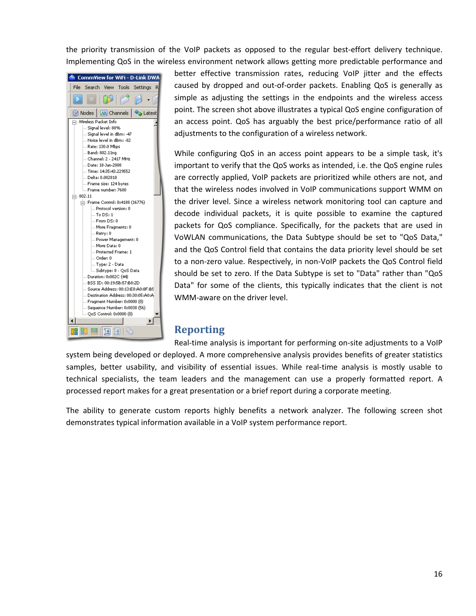<span id="page-15-0"></span>the priority transmission of the VoIP packets as opposed to the regular best-effort delivery technique. Implementing QoS in the wireless environment network allows getting more predictable performance and



an access point. QoS has arguably the best price/performance ratio of all better effective transmission rates, reducing VoIP jitter and the effects caused by dropped and out‐of‐order packets. Enabling QoS is generally as simple as adjusting the settings in the endpoints and the wireless access point. The screen shot above illustrates a typical QoS engine configuration of adjustments to the configuration of a wireless network.

While configuring QoS in an access point appears to be a simple task, it's important to verify that the QoS works as intended, i.e. the QoS engine rules are correctly applied, VoIP packets are prioritized while others are not, and that the wireless nodes involved in VoIP communications support WMM on the driver level. Since a wireless network monitoring tool can capture and decode individual packets, it is quite possible to examine the captured packets for QoS compliance. Specifically, for the packets that are used in VoWLAN communications, the Data Subtype should be set to "QoS Data," and the QoS Control field that contains the data priority level should be set to a non‐zero value. Respectively, in non‐VoIP packets the QoS Control field should be set to zero. If the Data Subtype is set to "Data" rather than "QoS Data" for some of the clients, this typically indicates that the client is not WMM‐aware on the driver level.

# **Reporting**

Real-time analysis is important for performing on-site adjustments to a VoIP

system being developed or deployed. A more comprehensive analysis provides benefits of greater statistics samples, better usability, and visibility of essential issues. While real-time analysis is mostly usable to technical specialists, the team leaders and the management can use a properly formatted report. A processed report makes for a great presentation or a brief report during a corporate meeting.

The ability to generate custom reports highly benefits a network analyzer. The following screen shot demonstrates typical information available in a VoIP system performance report.